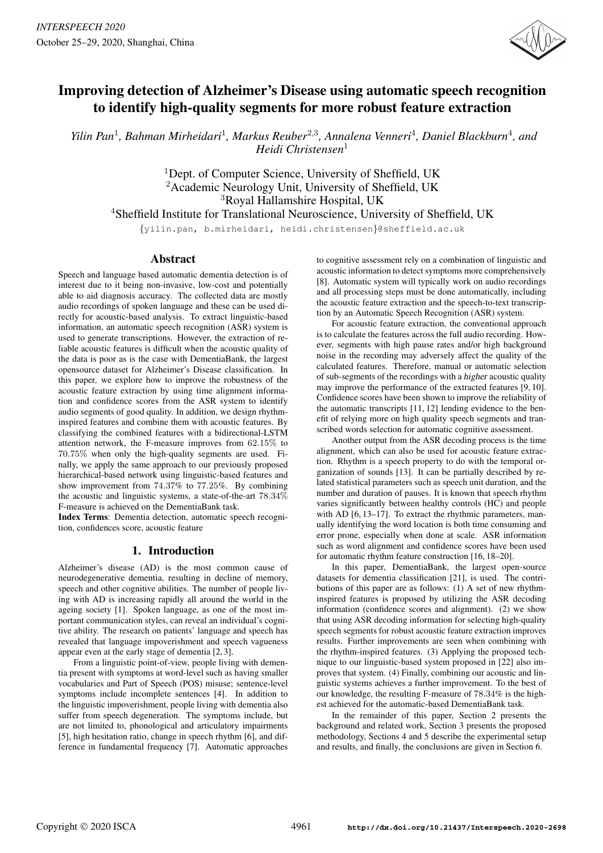

# Improving detection of Alzheimer's Disease using automatic speech recognition to identify high-quality segments for more robust feature extraction

Yilin Pan<sup>1</sup>, Bahman Mirheidari<sup>1</sup>, Markus Reuber<sup>2,3</sup>, Annalena Venneri<sup>4</sup>, Daniel Blackburn<sup>4</sup>, and *Heidi Christensen*<sup>1</sup>

<sup>1</sup>Dept. of Computer Science, University of Sheffield, UK <sup>2</sup> Academic Neurology Unit, University of Sheffield, UK <sup>3</sup>Royal Hallamshire Hospital, UK <sup>4</sup>Sheffield Institute for Translational Neuroscience, University of Sheffield, UK

{yilin.pan, b.mirheidari, heidi.christensen}@sheffield.ac.uk

# Abstract

Speech and language based automatic dementia detection is of interest due to it being non-invasive, low-cost and potentially able to aid diagnosis accuracy. The collected data are mostly audio recordings of spoken language and these can be used directly for acoustic-based analysis. To extract linguistic-based information, an automatic speech recognition (ASR) system is used to generate transcriptions. However, the extraction of reliable acoustic features is difficult when the acoustic quality of the data is poor as is the case with DementiaBank, the largest opensource dataset for Alzheimer's Disease classification. In this paper, we explore how to improve the robustness of the acoustic feature extraction by using time alignment information and confidence scores from the ASR system to identify audio segments of good quality. In addition, we design rhythminspired features and combine them with acoustic features. By classifying the combined features with a bidirectional-LSTM attention network, the F-measure improves from 62.15% to 70.75% when only the high-quality segments are used. Finally, we apply the same approach to our previously proposed hierarchical-based network using linguistic-based features and show improvement from 74.37% to 77.25%. By combining the acoustic and linguistic systems, a state-of-the-art 78.34% F-measure is achieved on the DementiaBank task.

Index Terms: Dementia detection, automatic speech recognition, confidences score, acoustic feature

# 1. Introduction

Alzheimer's disease (AD) is the most common cause of neurodegenerative dementia, resulting in decline of memory, speech and other cognitive abilities. The number of people living with AD is increasing rapidly all around the world in the ageing society [1]. Spoken language, as one of the most important communication styles, can reveal an individual's cognitive ability. The research on patients' language and speech has revealed that language impoverishment and speech vagueness appear even at the early stage of dementia [2, 3].

From a linguistic point-of-view, people living with dementia present with symptoms at word-level such as having smaller vocabularies and Part of Speech (POS) misuse; sentence-level symptoms include incomplete sentences [4]. In addition to the linguistic impoverishment, people living with dementia also suffer from speech degeneration. The symptoms include, but are not limited to, phonological and articulatory impairments [5], high hesitation ratio, change in speech rhythm [6], and difference in fundamental frequency [7]. Automatic approaches

to cognitive assessment rely on a combination of linguistic and acoustic information to detect symptoms more comprehensively [8]. Automatic system will typically work on audio recordings and all processing steps must be done automatically, including the acoustic feature extraction and the speech-to-text transcription by an Automatic Speech Recognition (ASR) system.

For acoustic feature extraction, the conventional approach is to calculate the features across the full audio recording. However, segments with high pause rates and/or high background noise in the recording may adversely affect the quality of the calculated features. Therefore, manual or automatic selection of sub-segments of the recordings with a higher acoustic quality may improve the performance of the extracted features [9, 10]. Confidence scores have been shown to improve the reliability of the automatic transcripts [11, 12] lending evidence to the benefit of relying more on high quality speech segments and transcribed words selection for automatic cognitive assessment.

Another output from the ASR decoding process is the time alignment, which can also be used for acoustic feature extraction. Rhythm is a speech property to do with the temporal organization of sounds [13]. It can be partially described by related statistical parameters such as speech unit duration, and the number and duration of pauses. It is known that speech rhythm varies significantly between healthy controls (HC) and people with AD [6, 13–17]. To extract the rhythmic parameters, manually identifying the word location is both time consuming and error prone, especially when done at scale. ASR information such as word alignment and confidence scores have been used for automatic rhythm feature construction [16, 18–20].

In this paper, DementiaBank, the largest open-source datasets for dementia classification [21], is used. The contributions of this paper are as follows: (1) A set of new rhythminspired features is proposed by utilizing the ASR decoding information (confidence scores and alignment). (2) we show that using ASR decoding information for selecting high-quality speech segments for robust acoustic feature extraction improves results. Further improvements are seen when combining with the rhythm-inspired features. (3) Applying the proposed technique to our linguistic-based system proposed in [22] also improves that system. (4) Finally, combining our acoustic and linguistic systems achieves a further improvement. To the best of our knowledge, the resulting F-measure of 78.34% is the highest achieved for the automatic-based DementiaBank task.

In the remainder of this paper, Section 2 presents the background and related work, Section 3 presents the proposed methodology, Sections 4 and 5 describe the experimental setup and results, and finally, the conclusions are given in Section 6.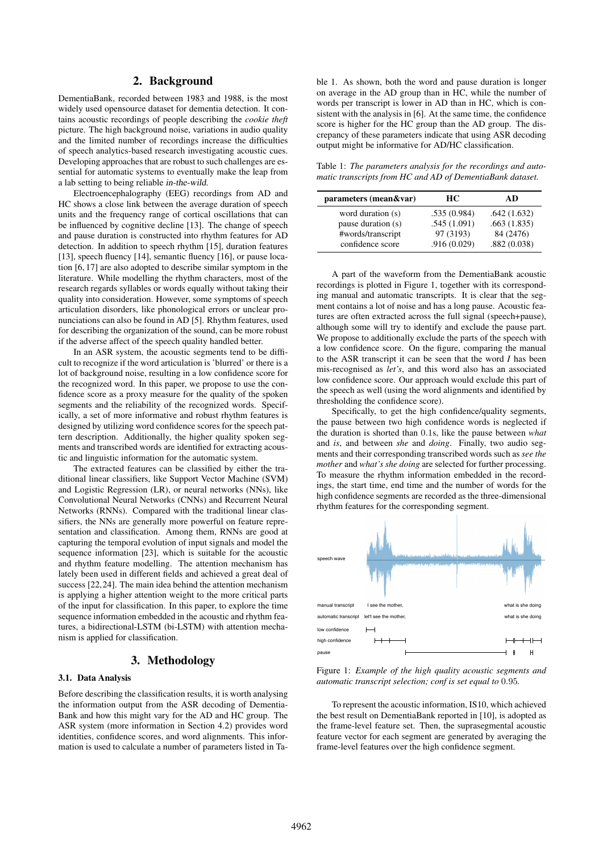# 2. Background

DementiaBank, recorded between 1983 and 1988, is the most widely used opensource dataset for dementia detection. It contains acoustic recordings of people describing the *cookie theft* picture. The high background noise, variations in audio quality and the limited number of recordings increase the difficulties of speech analytics-based research investigating acoustic cues. Developing approaches that are robust to such challenges are essential for automatic systems to eventually make the leap from a lab setting to being reliable in-the-wild.

Electroencephalography (EEG) recordings from AD and HC shows a close link between the average duration of speech units and the frequency range of cortical oscillations that can be influenced by cognitive decline [13]. The change of speech and pause duration is constructed into rhythm features for AD detection. In addition to speech rhythm [15], duration features [13], speech fluency [14], semantic fluency [16], or pause location [6, 17] are also adopted to describe similar symptom in the literature. While modelling the rhythm characters, most of the research regards syllables or words equally without taking their quality into consideration. However, some symptoms of speech articulation disorders, like phonological errors or unclear pronunciations can also be found in AD [5]. Rhythm features, used for describing the organization of the sound, can be more robust if the adverse affect of the speech quality handled better.

In an ASR system, the acoustic segments tend to be difficult to recognize if the word articulation is 'blurred' or there is a lot of background noise, resulting in a low confidence score for the recognized word. In this paper, we propose to use the confidence score as a proxy measure for the quality of the spoken segments and the reliability of the recognized words. Specifically, a set of more informative and robust rhythm features is designed by utilizing word confidence scores for the speech pattern description. Additionally, the higher quality spoken segments and transcribed words are identified for extracting acoustic and linguistic information for the automatic system.

The extracted features can be classified by either the traditional linear classifiers, like Support Vector Machine (SVM) and Logistic Regression (LR), or neural networks (NNs), like Convolutional Neural Networks (CNNs) and Recurrent Neural Networks (RNNs). Compared with the traditional linear classifiers, the NNs are generally more powerful on feature representation and classification. Among them, RNNs are good at capturing the temporal evolution of input signals and model the sequence information [23], which is suitable for the acoustic and rhythm feature modelling. The attention mechanism has lately been used in different fields and achieved a great deal of success [22,24]. The main idea behind the attention mechanism is applying a higher attention weight to the more critical parts of the input for classification. In this paper, to explore the time sequence information embedded in the acoustic and rhythm features, a bidirectional-LSTM (bi-LSTM) with attention mechanism is applied for classification.

### 3. Methodology

#### 3.1. Data Analysis

Before describing the classification results, it is worth analysing the information output from the ASR decoding of Dementia-Bank and how this might vary for the AD and HC group. The ASR system (more information in Section 4.2) provides word identities, confidence scores, and word alignments. This information is used to calculate a number of parameters listed in Table 1. As shown, both the word and pause duration is longer on average in the AD group than in HC, while the number of words per transcript is lower in AD than in HC, which is consistent with the analysis in [6]. At the same time, the confidence score is higher for the HC group than the AD group. The discrepancy of these parameters indicate that using ASR decoding output might be informative for AD/HC classification.

Table 1: *The parameters analysis for the recordings and automatic transcripts from HC and AD of DementiaBank dataset.*

| parameters (mean&var) | HС          | AD          |  |
|-----------------------|-------------|-------------|--|
| word duration (s)     | .535(0.984) | .642(1.632) |  |
| pause duration (s)    | .545(1.091) | .663(1.835) |  |
| #words/transcript     | 97 (3193)   | 84 (2476)   |  |
| confidence score      | .916(0.029) | .882(0.038) |  |

A part of the waveform from the DementiaBank acoustic recordings is plotted in Figure 1, together with its corresponding manual and automatic transcripts. It is clear that the segment contains a lot of noise and has a long pause. Acoustic features are often extracted across the full signal (speech+pause), although some will try to identify and exclude the pause part. We propose to additionally exclude the parts of the speech with a low confidence score. On the figure, comparing the manual to the ASR transcript it can be seen that the word *I* has been mis-recognised as *let's*, and this word also has an associated low confidence score. Our approach would exclude this part of the speech as well (using the word alignments and identified by thresholding the confidence score).

Specifically, to get the high confidence/quality segments, the pause between two high confidence words is neglected if the duration is shorted than 0.1s, like the pause between *what* and *is*, and between *she* and *doing*. Finally, two audio segments and their corresponding transcribed words such as *see the mother* and *what's she doing* are selected for further processing. To measure the rhythm information embedded in the recordings, the start time, end time and the number of words for the high confidence segments are recorded as the three-dimensional rhythm features for the corresponding segment.



Figure 1: *Example of the high quality acoustic segments and automatic transcript selection; conf is set equal to* 0.95*.*

To represent the acoustic information, IS10, which achieved the best result on DementiaBank reported in [10], is adopted as the frame-level feature set. Then, the suprasegmental acoustic feature vector for each segment are generated by averaging the frame-level features over the high confidence segment.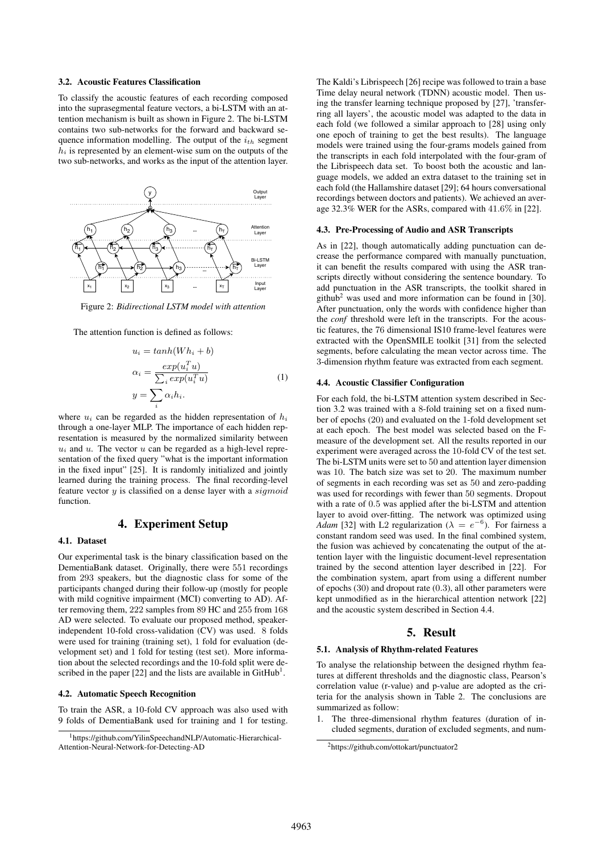#### 3.2. Acoustic Features Classification

To classify the acoustic features of each recording composed into the suprasegmental feature vectors, a bi-LSTM with an attention mechanism is built as shown in Figure 2. The bi-LSTM contains two sub-networks for the forward and backward sequence information modelling. The output of the  $i_{th}$  segment  $\hat{h}_i$  is represented by an element-wise sum on the outputs of the two sub-networks, and works as the input of the attention layer.



Figure 2: *Bidirectional LSTM model with attention*

The attention function is defined as follows:

$$
u_i = \tanh(Wh_i + b)
$$
  
\n
$$
\alpha_i = \frac{\exp(u_i^T u)}{\sum_i \exp(u_i^T u)}
$$
  
\n
$$
y = \sum_i \alpha_i h_i.
$$
\n(1)

where  $u_i$  can be regarded as the hidden representation of  $h_i$ through a one-layer MLP. The importance of each hidden representation is measured by the normalized similarity between  $u_i$  and  $u$ . The vector  $u$  can be regarded as a high-level representation of the fixed query "what is the important information in the fixed input"  $[25]$ . It is randomly initialized and jointly learned during the training process. The final recording-level feature vector  $y$  is classified on a dense layer with a  $sigmoid$ function.

### 4. Experiment Setup

### 4.1. Dataset

Our experimental task is the binary classification based on the DementiaBank dataset. Originally, there were 551 recordings from 293 speakers, but the diagnostic class for some of the participants changed during their follow-up (mostly for people with mild cognitive impairment (MCI) converting to AD). After removing them, 222 samples from 89 HC and 255 from 168 AD were selected. To evaluate our proposed method, speakerindependent 10-fold cross-validation (CV) was used. 8 folds were used for training (training set), 1 fold for evaluation (development set) and 1 fold for testing (test set). More information about the selected recordings and the 10-fold split were described in the paper [22] and the lists are available in  $G$ itHub<sup>1</sup>.

#### 4.2. Automatic Speech Recognition

To train the ASR, a 10-fold CV approach was also used with 9 folds of DementiaBank used for training and 1 for testing. The Kaldi's Librispeech [26] recipe was followed to train a base Time delay neural network (TDNN) acoustic model. Then using the transfer learning technique proposed by [27], 'transferring all layers', the acoustic model was adapted to the data in each fold (we followed a similar approach to [28] using only one epoch of training to get the best results). The language models were trained using the four-grams models gained from the transcripts in each fold interpolated with the four-gram of the Librispeech data set. To boost both the acoustic and language models, we added an extra dataset to the training set in each fold (the Hallamshire dataset [29]; 64 hours conversational recordings between doctors and patients). We achieved an average 32.3% WER for the ASRs, compared with 41.6% in [22].

#### 4.3. Pre-Processing of Audio and ASR Transcripts

As in [22], though automatically adding punctuation can decrease the performance compared with manually punctuation, it can benefit the results compared with using the ASR transcripts directly without considering the sentence boundary. To add punctuation in the ASR transcripts, the toolkit shared in github<sup>2</sup> was used and more information can be found in [30]. After punctuation, only the words with confidence higher than the *conf* threshold were left in the transcripts. For the acoustic features, the 76 dimensional IS10 frame-level features were extracted with the OpenSMILE toolkit [31] from the selected segments, before calculating the mean vector across time. The 3-dimension rhythm feature was extracted from each segment.

#### 4.4. Acoustic Classifier Configuration

For each fold, the bi-LSTM attention system described in Section 3.2 was trained with a 8-fold training set on a fixed number of epochs (20) and evaluated on the 1-fold development set at each epoch. The best model was selected based on the Fmeasure of the development set. All the results reported in our experiment were averaged across the 10-fold CV of the test set. The bi-LSTM units were set to 50 and attention layer dimension was 10. The batch size was set to 20. The maximum number of segments in each recording was set as 50 and zero-padding was used for recordings with fewer than 50 segments. Dropout with a rate of 0.5 was applied after the bi-LSTM and attention layer to avoid over-fitting. The network was optimized using *Adam* [32] with L2 regularization ( $\lambda = e^{-6}$ ). For fairness a constant random seed was used. In the final combined system, the fusion was achieved by concatenating the output of the attention layer with the linguistic document-level representation trained by the second attention layer described in [22]. For the combination system, apart from using a different number of epochs (30) and dropout rate (0.3), all other parameters were kept unmodified as in the hierarchical attention network [22] and the acoustic system described in Section 4.4.

#### 5. Result

#### 5.1. Analysis of Rhythm-related Features

To analyse the relationship between the designed rhythm features at different thresholds and the diagnostic class, Pearson's correlation value (r-value) and p-value are adopted as the criteria for the analysis shown in Table 2. The conclusions are summarized as follow:

1. The three-dimensional rhythm features (duration of included segments, duration of excluded segments, and num-

<sup>1</sup>https://github.com/YilinSpeechandNLP/Automatic-Hierarchical-Attention-Neural-Network-for-Detecting-AD

<sup>2</sup>https://github.com/ottokart/punctuator2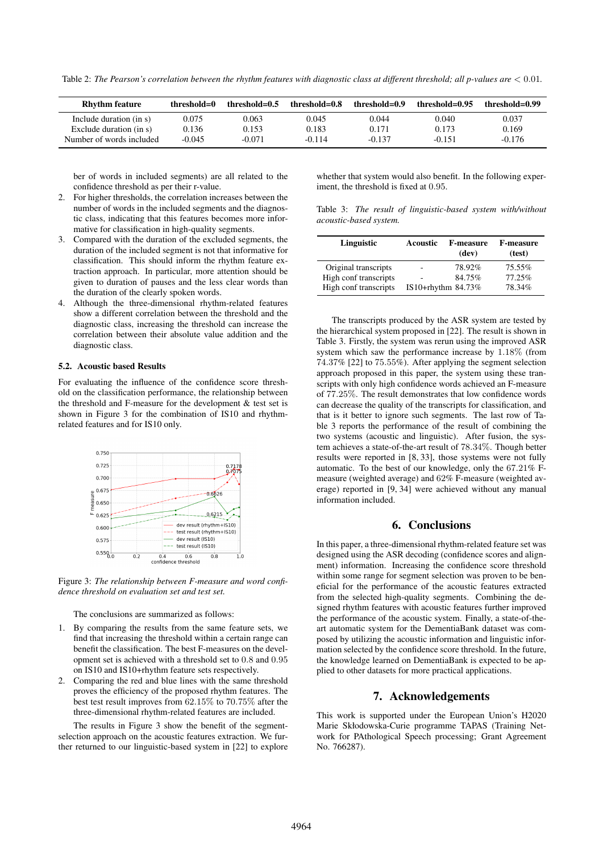Table 2: *The Pearson's correlation between the rhythm features with diagnostic class at different threshold; all p-values are* < 0.01*.*

| <b>Rhythm feature</b>    | threshold=0 | threshold= $0.5$ | threshold= $0.8$ | threshold=0.9 | threshold= $0.95$ | threshold=0.99 |
|--------------------------|-------------|------------------|------------------|---------------|-------------------|----------------|
| Include duration (in s)  | 0.075       | 0.063            | 0.045            | 0.044         | 0.040             | 0.037          |
| Exclude duration (in s)  | 0.136       | 0.153            | 0.183            | 0.171         | 0.173             | 0.169          |
| Number of words included | $-0.045$    | $-0.071$         | $-0.114$         | $-0.137$      | $-0.151$          | $-0.176$       |

ber of words in included segments) are all related to the confidence threshold as per their r-value.

- 2. For higher thresholds, the correlation increases between the number of words in the included segments and the diagnostic class, indicating that this features becomes more informative for classification in high-quality segments.
- 3. Compared with the duration of the excluded segments, the duration of the included segment is not that informative for classification. This should inform the rhythm feature extraction approach. In particular, more attention should be given to duration of pauses and the less clear words than the duration of the clearly spoken words.
- 4. Although the three-dimensional rhythm-related features show a different correlation between the threshold and the diagnostic class, increasing the threshold can increase the correlation between their absolute value addition and the diagnostic class.

#### 5.2. Acoustic based Results

For evaluating the influence of the confidence score threshold on the classification performance, the relationship between the threshold and F-measure for the development & test set is shown in Figure 3 for the combination of IS10 and rhythmrelated features and for IS10 only.



Figure 3: *The relationship between F-measure and word confidence threshold on evaluation set and test set.*

The conclusions are summarized as follows:

- 1. By comparing the results from the same feature sets, we find that increasing the threshold within a certain range can benefit the classification. The best F-measures on the development set is achieved with a threshold set to 0.8 and 0.95 on IS10 and IS10+rhythm feature sets respectively.
- 2. Comparing the red and blue lines with the same threshold proves the efficiency of the proposed rhythm features. The best test result improves from 62.15% to 70.75% after the three-dimensional rhythm-related features are included.

The results in Figure 3 show the benefit of the segmentselection approach on the acoustic features extraction. We further returned to our linguistic-based system in [22] to explore

whether that system would also benefit. In the following experiment, the threshold is fixed at 0.95.

Table 3: *The result of linguistic-based system with/without acoustic-based system.*

| Linguistic            | Acoustic                 | <b>F-measure</b><br>(dev) | <b>F-measure</b><br>(test) |
|-----------------------|--------------------------|---------------------------|----------------------------|
| Original transcripts  | ٠                        | 78.92%                    | 75.55%                     |
| High conf transcripts | $\overline{\phantom{a}}$ | 84.75%                    | 77.25%                     |
| High conf transcripts | IS10+rhythm 84.73%       |                           | 78.34%                     |

The transcripts produced by the ASR system are tested by the hierarchical system proposed in [22]. The result is shown in Table 3. Firstly, the system was rerun using the improved ASR system which saw the performance increase by 1.18% (from 74.37% [22] to 75.55%). After applying the segment selection approach proposed in this paper, the system using these transcripts with only high confidence words achieved an F-measure of 77.25%. The result demonstrates that low confidence words can decrease the quality of the transcripts for classification, and that is it better to ignore such segments. The last row of Table 3 reports the performance of the result of combining the two systems (acoustic and linguistic). After fusion, the system achieves a state-of-the-art result of 78.34%. Though better results were reported in [8, 33], those systems were not fully automatic. To the best of our knowledge, only the 67.21% Fmeasure (weighted average) and 62% F-measure (weighted average) reported in [9, 34] were achieved without any manual information included.

## 6. Conclusions

In this paper, a three-dimensional rhythm-related feature set was designed using the ASR decoding (confidence scores and alignment) information. Increasing the confidence score threshold within some range for segment selection was proven to be beneficial for the performance of the acoustic features extracted from the selected high-quality segments. Combining the designed rhythm features with acoustic features further improved the performance of the acoustic system. Finally, a state-of-theart automatic system for the DementiaBank dataset was composed by utilizing the acoustic information and linguistic information selected by the confidence score threshold. In the future, the knowledge learned on DementiaBank is expected to be applied to other datasets for more practical applications.

# 7. Acknowledgements

This work is supported under the European Union's H2020 Marie Skłodowska-Curie programme TAPAS (Training Network for PAthological Speech processing; Grant Agreement No. 766287).